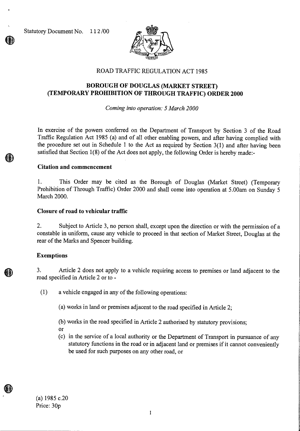Statutory Document No. 112 /00



# ROAD TRAFFIC REGULATION ACT 1985

# **BOROUGH OF DOUGLAS (MARKET STREET) (TEMPORARY PROHIBITION OF THROUGH TRAFFIC) ORDER 2000**

*Coming into operation: 5 March 2000* 

In exercise of the powers conferred on the Department of Transport by Section 3 of the Road Traffic Regulation Act 1985 (a) and of all other enabling powers, and after having complied with the procedure set out in Schedule 1 to the Act as required by Section 3(1) and after having been satisfied that Section 1(8) of the Act does not apply, the following Order is hereby made:-

## **Citation and commencement**

1. This Order may be cited as the Borough of Douglas (Market Street) (Temporary Prohibition of Through Traffic) Order 2000 and shall come into operation at 5.00am on Sunday 5 March 2000.

#### **Closure of road to vehicular traffic**

2. Subject to Article 3, no person shall, except upon the direction or with the permission of a constable in uniform, cause any vehicle to proceed in that section of Market Street, Douglas at the rear of the Marks and Spencer building.

#### **Exemptions**

3. Article 2 does not apply to a vehicle requiring access to premises or land adjacent to the road specified in Article 2 or to -

(1) a vehicle engaged in any of the following operations:

(a) works in land or premises adjacent to the road specified in Article 2;

(b) works in the road specified in Article 2 authorised by statutory provisions;

- Or
- (c) in the service of a local authority or the Department of Transport in pursuance of any statutory functions in the road or in adjacent land or premises if it cannot conveniently be used for such purposes on any other road, or